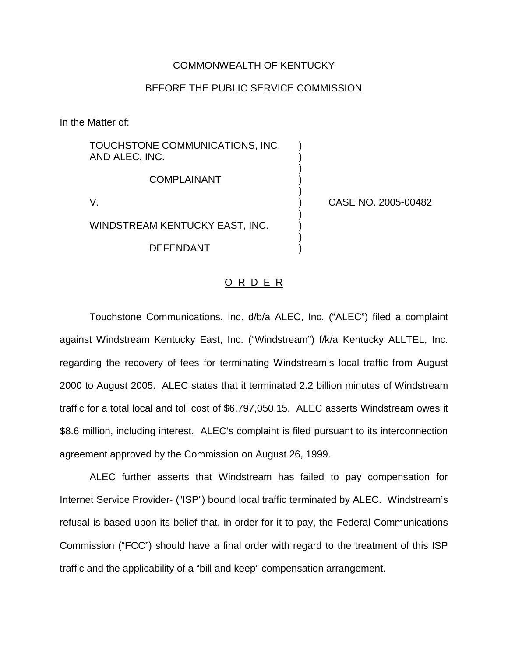### COMMONWEALTH OF KENTUCKY

### BEFORE THE PUBLIC SERVICE COMMISSION

In the Matter of:

TOUCHSTONE COMMUNICATIONS, INC. ) AND ALEC, INC. ) ) **COMPLAINANT** ) V. ) CASE NO. 2005-00482 ) WINDSTREAM KENTUCKY EAST, INC. ) **DEFENDANT** 

#### O R D E R

Touchstone Communications, Inc. d/b/a ALEC, Inc. ("ALEC") filed a complaint against Windstream Kentucky East, Inc. ("Windstream") f/k/a Kentucky ALLTEL, Inc. regarding the recovery of fees for terminating Windstream's local traffic from August 2000 to August 2005. ALEC states that it terminated 2.2 billion minutes of Windstream traffic for a total local and toll cost of \$6,797,050.15. ALEC asserts Windstream owes it \$8.6 million, including interest. ALEC's complaint is filed pursuant to its interconnection agreement approved by the Commission on August 26, 1999.

ALEC further asserts that Windstream has failed to pay compensation for Internet Service Provider- ("ISP") bound local traffic terminated by ALEC. Windstream's refusal is based upon its belief that, in order for it to pay, the Federal Communications Commission ("FCC") should have a final order with regard to the treatment of this ISP traffic and the applicability of a "bill and keep" compensation arrangement.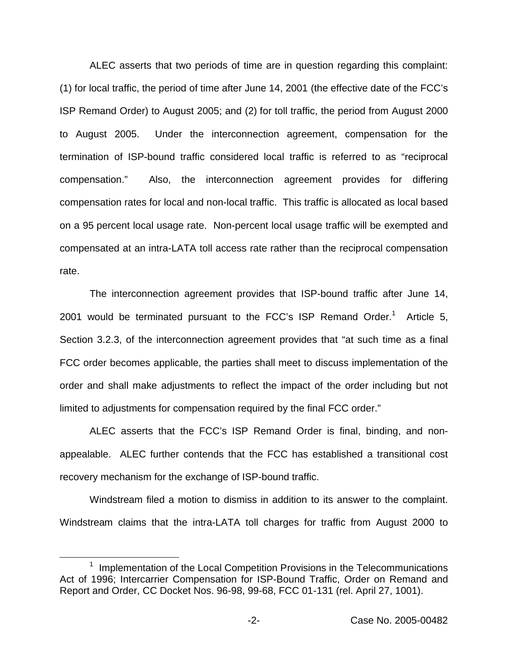ALEC asserts that two periods of time are in question regarding this complaint: (1) for local traffic, the period of time after June 14, 2001 (the effective date of the FCC's ISP Remand Order) to August 2005; and (2) for toll traffic, the period from August 2000 to August 2005. Under the interconnection agreement, compensation for the termination of ISP-bound traffic considered local traffic is referred to as "reciprocal compensation." Also, the interconnection agreement provides for differing compensation rates for local and non-local traffic. This traffic is allocated as local based on a 95 percent local usage rate. Non-percent local usage traffic will be exempted and compensated at an intra-LATA toll access rate rather than the reciprocal compensation rate.

The interconnection agreement provides that ISP-bound traffic after June 14, 2001 would be terminated pursuant to the FCC's ISP Remand Order.<sup>1</sup> Article 5, Section 3.2.3, of the interconnection agreement provides that "at such time as a final FCC order becomes applicable, the parties shall meet to discuss implementation of the order and shall make adjustments to reflect the impact of the order including but not limited to adjustments for compensation required by the final FCC order."

ALEC asserts that the FCC's ISP Remand Order is final, binding, and nonappealable. ALEC further contends that the FCC has established a transitional cost recovery mechanism for the exchange of ISP-bound traffic.

Windstream filed a motion to dismiss in addition to its answer to the complaint. Windstream claims that the intra-LATA toll charges for traffic from August 2000 to

<sup>1</sup> Implementation of the Local Competition Provisions in the Telecommunications Act of 1996; Intercarrier Compensation for ISP-Bound Traffic, Order on Remand and Report and Order, CC Docket Nos. 96-98, 99-68, FCC 01-131 (rel. April 27, 1001).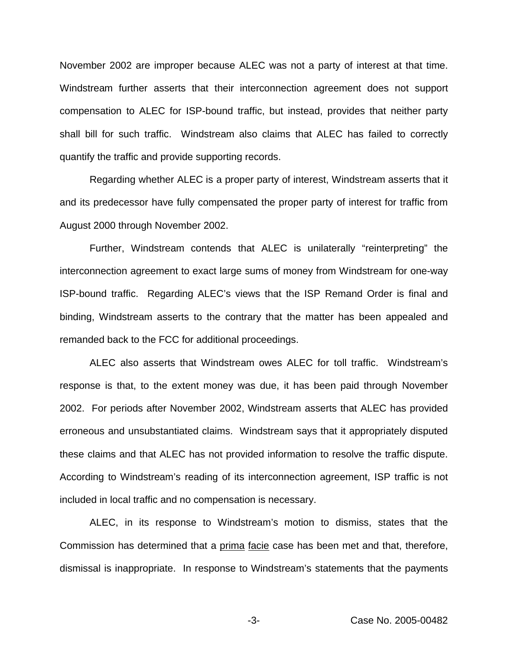November 2002 are improper because ALEC was not a party of interest at that time. Windstream further asserts that their interconnection agreement does not support compensation to ALEC for ISP-bound traffic, but instead, provides that neither party shall bill for such traffic. Windstream also claims that ALEC has failed to correctly quantify the traffic and provide supporting records.

Regarding whether ALEC is a proper party of interest, Windstream asserts that it and its predecessor have fully compensated the proper party of interest for traffic from August 2000 through November 2002.

Further, Windstream contends that ALEC is unilaterally "reinterpreting" the interconnection agreement to exact large sums of money from Windstream for one-way ISP-bound traffic. Regarding ALEC's views that the ISP Remand Order is final and binding, Windstream asserts to the contrary that the matter has been appealed and remanded back to the FCC for additional proceedings.

ALEC also asserts that Windstream owes ALEC for toll traffic. Windstream's response is that, to the extent money was due, it has been paid through November 2002. For periods after November 2002, Windstream asserts that ALEC has provided erroneous and unsubstantiated claims. Windstream says that it appropriately disputed these claims and that ALEC has not provided information to resolve the traffic dispute. According to Windstream's reading of its interconnection agreement, ISP traffic is not included in local traffic and no compensation is necessary.

ALEC, in its response to Windstream's motion to dismiss, states that the Commission has determined that a prima facie case has been met and that, therefore, dismissal is inappropriate. In response to Windstream's statements that the payments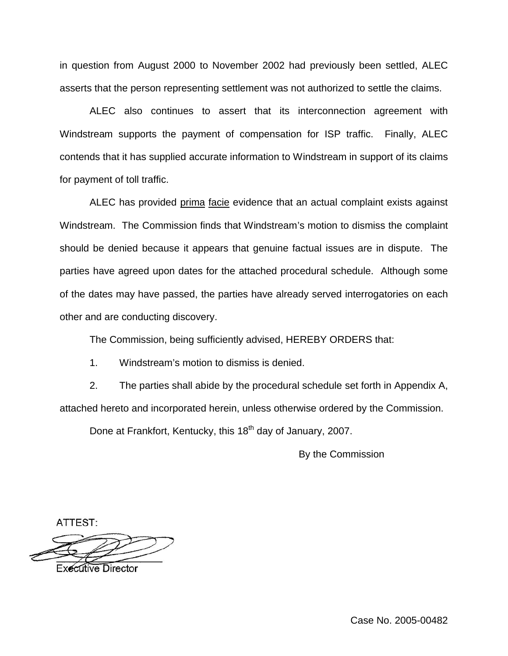in question from August 2000 to November 2002 had previously been settled, ALEC asserts that the person representing settlement was not authorized to settle the claims.

ALEC also continues to assert that its interconnection agreement with Windstream supports the payment of compensation for ISP traffic. Finally, ALEC contends that it has supplied accurate information to Windstream in support of its claims for payment of toll traffic.

ALEC has provided prima facie evidence that an actual complaint exists against Windstream. The Commission finds that Windstream's motion to dismiss the complaint should be denied because it appears that genuine factual issues are in dispute. The parties have agreed upon dates for the attached procedural schedule. Although some of the dates may have passed, the parties have already served interrogatories on each other and are conducting discovery.

The Commission, being sufficiently advised, HEREBY ORDERS that:

1. Windstream's motion to dismiss is denied.

2. The parties shall abide by the procedural schedule set forth in Appendix A, attached hereto and incorporated herein, unless otherwise ordered by the Commission.

Done at Frankfort, Kentucky, this 18<sup>th</sup> day of January, 2007.

By the Commission

ATTEST:

**Executive Director**